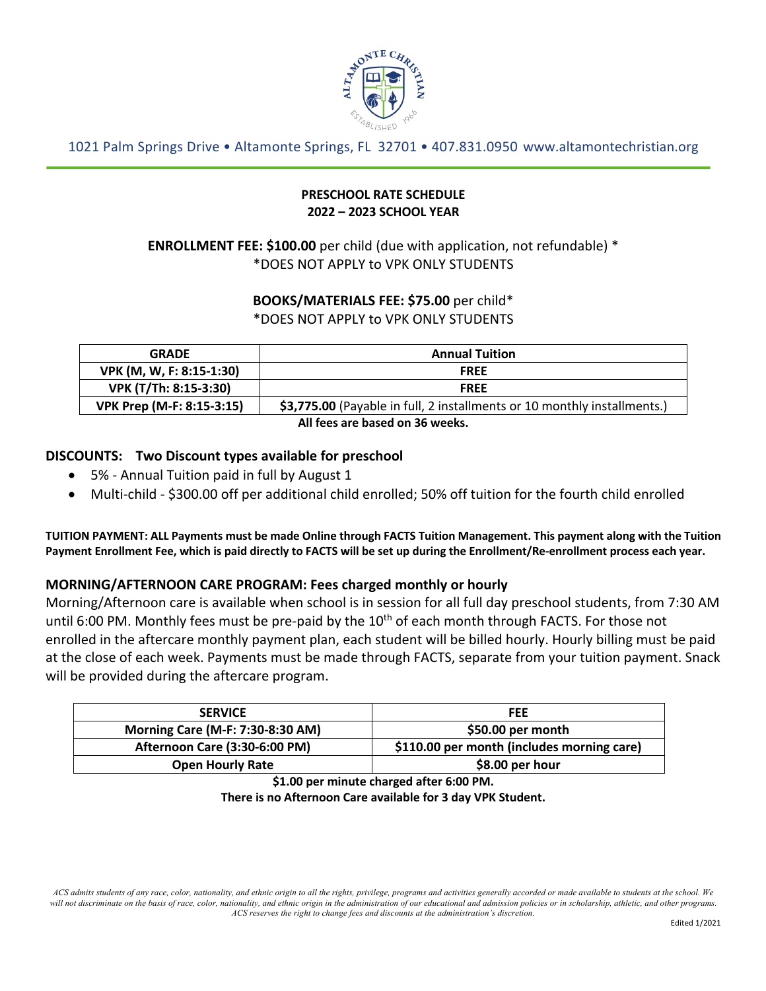

1021 Palm Springs Drive • Altamonte Springs, FL 32701 • 407.831.0950 www.altamontechristian.org

#### **PRESCHOOL RATE SCHEDULE 2022 – 2023 SCHOOL YEAR**

# **ENROLLMENT FEE: \$100.00** per child (due with application, not refundable) \* \*DOES NOT APPLY to VPK ONLY STUDENTS

#### **BOOKS/MATERIALS FEE: \$75.00** per child\* \*DOES NOT APPLY to VPK ONLY STUDENTS

| <b>GRADE</b>                    | <b>Annual Tuition</b>                                                    |  |
|---------------------------------|--------------------------------------------------------------------------|--|
| VPK (M, W, F: 8:15-1:30)        | <b>FREE</b>                                                              |  |
| VPK (T/Th: 8:15-3:30)           | <b>FREE</b>                                                              |  |
| VPK Prep (M-F: 8:15-3:15)       | \$3,775.00 (Payable in full, 2 installments or 10 monthly installments.) |  |
| All fees are based on 36 weeks. |                                                                          |  |

#### **DISCOUNTS: Two Discount types available for preschool**

- 5% Annual Tuition paid in full by August 1
- Multi-child \$300.00 off per additional child enrolled; 50% off tuition for the fourth child enrolled

**TUITION PAYMENT: ALL Payments must be made Online through FACTS Tuition Management. This payment along with the Tuition Payment Enrollment Fee, which is paid directly to FACTS will be set up during the Enrollment/Re-enrollment process each year.**

## **MORNING/AFTERNOON CARE PROGRAM: Fees charged monthly or hourly**

Morning/Afternoon care is available when school is in session for all full day preschool students, from 7:30 AM until 6:00 PM. Monthly fees must be pre-paid by the  $10<sup>th</sup>$  of each month through FACTS. For those not enrolled in the aftercare monthly payment plan, each student will be billed hourly. Hourly billing must be paid at the close of each week. Payments must be made through FACTS, separate from your tuition payment. Snack will be provided during the aftercare program.

| <b>SERVICE</b>                       | <b>FEE</b>                                 |
|--------------------------------------|--------------------------------------------|
| Morning Care (M-F: 7:30-8:30 AM)     | \$50.00 per month                          |
| <b>Afternoon Care (3:30-6:00 PM)</b> | \$110.00 per month (includes morning care) |
| <b>Open Hourly Rate</b>              | \$8.00 per hour                            |

**\$1.00 per minute charged after 6:00 PM.**

**There is no Afternoon Care available for 3 day VPK Student.**

*ACS admits students of any race, color, nationality, and ethnic origin to all the rights, privilege, programs and activities generally accorded or made available to students at the school. We will not discriminate on the basis of race, color, nationality, and ethnic origin in the administration of our educational and admission policies or in scholarship, athletic, and other programs. ACS reserves the right to change fees and discounts at the administration's discretion.*